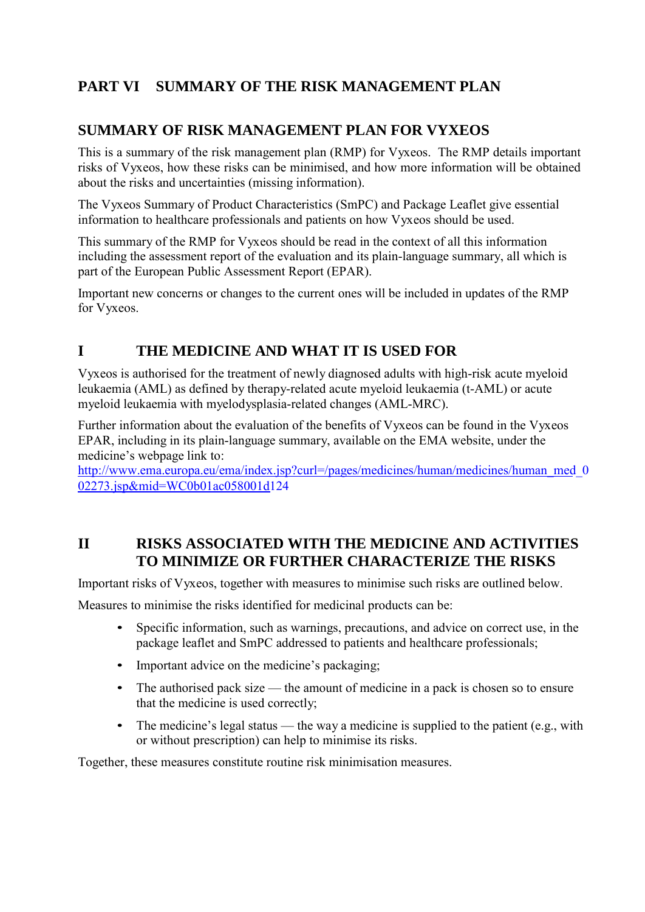# **PART VI SUMMARY OF THE RISK MANAGEMENT PLAN**

## **SUMMARY OF RISK MANAGEMENT PLAN FOR VYXEOS**

This is a summary of the risk management plan (RMP) for Vyxeos. The RMP details important risks of Vyxeos, how these risks can be minimised, and how more information will be obtained about the risks and uncertainties (missing information).

The Vyxeos Summary of Product Characteristics (SmPC) and Package Leaflet give essential information to healthcare professionals and patients on how Vyxeos should be used.

This summary of the RMP for Vyxeos should be read in the context of all this information including the assessment report of the evaluation and its plain-language summary, all which is part of the European Public Assessment Report (EPAR).

Important new concerns or changes to the current ones will be included in updates of the RMP for Vyxeos.

## **I THE MEDICINE AND WHAT IT IS USED FOR**

Vyxeos is authorised for the treatment of newly diagnosed adults with high-risk acute myeloid leukaemia (AML) as defined by therapy-related acute myeloid leukaemia (t-AML) or acute myeloid leukaemia with myelodysplasia-related changes (AML-MRC).

Further information about the evaluation of the benefits of Vyxeos can be found in the Vyxeos EPAR, including in its plain-language summary, available on the EMA website, under the medicine's webpage link to:

[http://www.ema.europa.eu/ema/index.jsp?curl=/pages/medicines/human/medicines/human\\_med\\_0](http://www.ema.europa.eu/ema/index.jsp?curl=/pages/medicines/human/medicines/human_med_002273.jsp&mid=WC0b01ac058001d124)\_ [02273.jsp&mid=WC0b01ac058001d1](http://www.ema.europa.eu/ema/index.jsp?curl=/pages/medicines/human/medicines/human_med_002273.jsp&mid=WC0b01ac058001d124)24

## **II RISKS ASSOCIATED WITH THE MEDICINE AND ACTIVITIES TO MINIMIZE OR FURTHER CHARACTERIZE THE RISKS**

Important risks of Vyxeos, together with measures to minimise such risks are outlined below.

Measures to minimise the risks identified for medicinal products can be:

- Specific information, such as warnings, precautions, and advice on correct use, in the package leaflet and SmPC addressed to patients and healthcare professionals;
- Important advice on the medicine's packaging;
- The authorised pack size the amount of medicine in a pack is chosen so to ensure that the medicine is used correctly;
- The medicine's legal status the way a medicine is supplied to the patient (e.g., with or without prescription) can help to minimise its risks.

Together, these measures constitute routine risk minimisation measures.